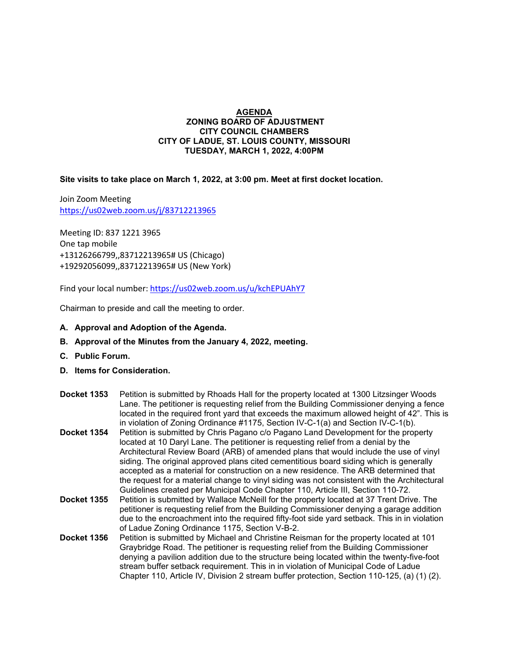## **AGENDA ZONING BOARD OF ADJUSTMENT CITY COUNCIL CHAMBERS CITY OF LADUE, ST. LOUIS COUNTY, MISSOURI TUESDAY, MARCH 1, 2022, 4:00PM**

**Site visits to take place on March 1, 2022, at 3:00 pm. Meet at first docket location.**

Join Zoom Meeting <https://us02web.zoom.us/j/83712213965>

Meeting ID: 837 1221 3965 One tap mobile +13126266799,,83712213965# US (Chicago) +19292056099,,83712213965# US (New York)

Find your local number[: https://us02web.zoom.us/u/kchEPUAhY7](https://us02web.zoom.us/u/kchEPUAhY7)

Chairman to preside and call the meeting to order.

## **A. Approval and Adoption of the Agenda.**

- **B. Approval of the Minutes from the January 4, 2022, meeting.**
- **C. Public Forum.**
- **D. Items for Consideration.**
- **Docket 1353** Petition is submitted by Rhoads Hall for the property located at 1300 Litzsinger Woods Lane. The petitioner is requesting relief from the Building Commissioner denying a fence located in the required front yard that exceeds the maximum allowed height of 42". This is in violation of Zoning Ordinance #1175, Section IV-C-1(a) and Section IV-C-1(b).
- **Docket 1354** Petition is submitted by Chris Pagano c/o Pagano Land Development for the property located at 10 Daryl Lane. The petitioner is requesting relief from a denial by the Architectural Review Board (ARB) of amended plans that would include the use of vinyl siding. The original approved plans cited cementitious board siding which is generally accepted as a material for construction on a new residence. The ARB determined that the request for a material change to vinyl siding was not consistent with the Architectural Guidelines created per Municipal Code Chapter 110, Article III, Section 110-72.
- **Docket 1355** Petition is submitted by Wallace McNeill for the property located at 37 Trent Drive. The petitioner is requesting relief from the Building Commissioner denying a garage addition due to the encroachment into the required fifty-foot side yard setback. This in in violation of Ladue Zoning Ordinance 1175, Section V-B-2.
- **Docket 1356** Petition is submitted by Michael and Christine Reisman for the property located at 101 Graybridge Road. The petitioner is requesting relief from the Building Commissioner denying a pavilion addition due to the structure being located within the twenty-five-foot stream buffer setback requirement. This in in violation of Municipal Code of Ladue Chapter 110, Article IV, Division 2 stream buffer protection, Section 110-125, (a) (1) (2).